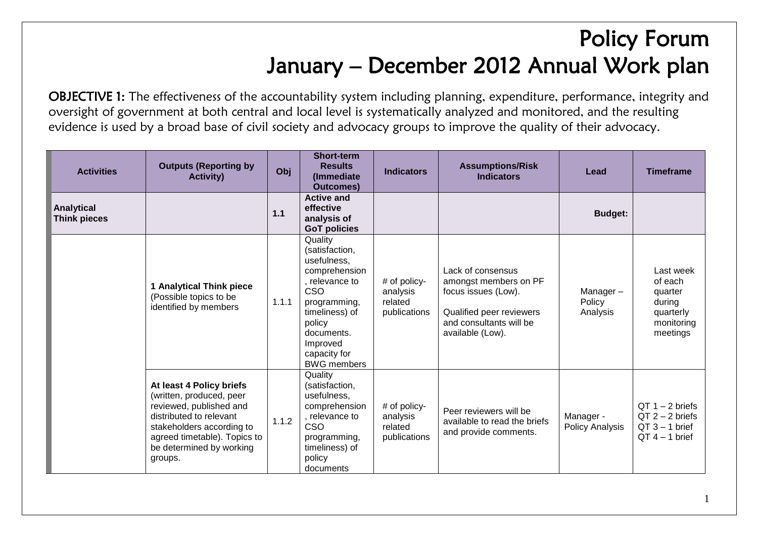## Policy Forum January – December 2012 Annual Work plan

OBJECTIVE 1: The effectiveness of the accountability system including planning, expenditure, performance, integrity and oversight of government at both central and local level is systematically analyzed and monitored, and the resulting evidence is used by a broad base of civil society and advocacy groups to improve the quality of their advocacy.

| <b>Activities</b>                        | <b>Outputs (Reporting by</b><br><b>Activity)</b>                                                                                                                                                               | Obj   | <b>Short-term</b><br><b>Results</b><br>(Immediate<br><b>Outcomes)</b>                                                                                                                          | <b>Indicators</b>                                   | <b>Assumptions/Risk</b><br><b>Indicators</b>                                                                                                 | Lead                                | <b>Timeframe</b>                                                                 |
|------------------------------------------|----------------------------------------------------------------------------------------------------------------------------------------------------------------------------------------------------------------|-------|------------------------------------------------------------------------------------------------------------------------------------------------------------------------------------------------|-----------------------------------------------------|----------------------------------------------------------------------------------------------------------------------------------------------|-------------------------------------|----------------------------------------------------------------------------------|
| <b>Analytical</b><br><b>Think pieces</b> |                                                                                                                                                                                                                | 1.1   | <b>Active and</b><br>effective<br>analysis of<br><b>GoT policies</b>                                                                                                                           |                                                     |                                                                                                                                              | <b>Budget:</b>                      |                                                                                  |
|                                          | <b>1 Analytical Think piece</b><br>(Possible topics to be<br>identified by members                                                                                                                             | 1.1.1 | Quality<br>(satisfaction,<br>usefulness,<br>comprehension<br>, relevance to<br>CSO<br>programming,<br>timeliness) of<br>policy<br>documents.<br>Improved<br>capacity for<br><b>BWG</b> members | # of policy-<br>analysis<br>related<br>publications | Lack of consensus<br>amongst members on PF<br>focus issues (Low).<br>Qualified peer reviewers<br>and consultants will be<br>available (Low). | Manager-<br>Policy<br>Analysis      | Last week<br>of each<br>quarter<br>during<br>quarterly<br>monitoring<br>meetings |
|                                          | At least 4 Policy briefs<br>(written, produced, peer<br>reviewed, published and<br>distributed to relevant<br>stakeholders according to<br>agreed timetable). Topics to<br>be determined by working<br>groups. | 1.1.2 | Quality<br>(satisfaction,<br>usefulness,<br>comprehension<br>, relevance to<br><b>CSO</b><br>programming,<br>timeliness) of<br>policy<br>documents                                             | # of policy-<br>analysis<br>related<br>publications | Peer reviewers will be<br>available to read the briefs<br>and provide comments.                                                              | Manager -<br><b>Policy Analysis</b> | $QT 1 - 2$ briefs<br>$QT 2 - 2$ briefs<br>$QT 3 - 1$ brief<br>$QT 4 - 1$ brief   |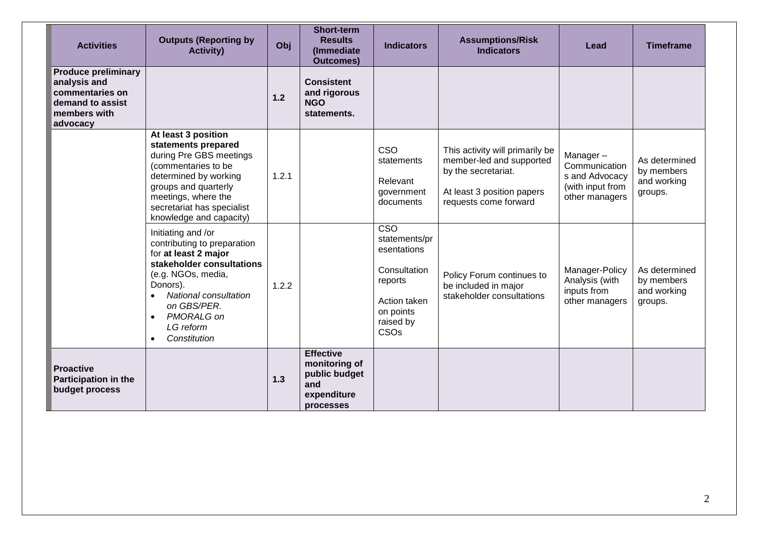| <b>Activities</b>                                                                                             | <b>Outputs (Reporting by</b><br><b>Activity)</b>                                                                                                                                                                                         | Obj   | <b>Short-term</b><br><b>Results</b><br>(Immediate<br><b>Outcomes)</b>                 | <b>Indicators</b>                                                                                                                    | <b>Assumptions/Risk</b><br><b>Indicators</b>                                                                                              | Lead                                                                              | <b>Timeframe</b>                                      |
|---------------------------------------------------------------------------------------------------------------|------------------------------------------------------------------------------------------------------------------------------------------------------------------------------------------------------------------------------------------|-------|---------------------------------------------------------------------------------------|--------------------------------------------------------------------------------------------------------------------------------------|-------------------------------------------------------------------------------------------------------------------------------------------|-----------------------------------------------------------------------------------|-------------------------------------------------------|
| <b>Produce preliminary</b><br>analysis and<br>commentaries on<br>demand to assist<br>members with<br>advocacy |                                                                                                                                                                                                                                          | 1.2   | <b>Consistent</b><br>and rigorous<br><b>NGO</b><br>statements.                        |                                                                                                                                      |                                                                                                                                           |                                                                                   |                                                       |
|                                                                                                               | At least 3 position<br>statements prepared<br>during Pre GBS meetings<br>(commentaries to be<br>determined by working<br>groups and quarterly<br>meetings, where the<br>secretariat has specialist<br>knowledge and capacity)            | 1.2.1 |                                                                                       | <b>CSO</b><br>statements<br>Relevant<br>government<br>documents                                                                      | This activity will primarily be<br>member-led and supported<br>by the secretariat.<br>At least 3 position papers<br>requests come forward | Manager-<br>Communication<br>s and Advocacy<br>(with input from<br>other managers | As determined<br>by members<br>and working<br>groups. |
|                                                                                                               | Initiating and /or<br>contributing to preparation<br>for at least 2 major<br>stakeholder consultations<br>(e.g. NGOs, media,<br>Donors).<br>National consultation<br>$\bullet$<br>on GBS/PER.<br>PMORALG on<br>LG reform<br>Constitution | 1.2.2 |                                                                                       | $\overline{\text{CSO}}$<br>statements/pr<br>esentations<br>Consultation<br>reports<br>Action taken<br>on points<br>raised by<br>CSOs | Policy Forum continues to<br>be included in major<br>stakeholder consultations                                                            | Manager-Policy<br>Analysis (with<br>inputs from<br>other managers                 | As determined<br>by members<br>and working<br>groups. |
| <b>Proactive</b><br><b>Participation in the</b><br>budget process                                             |                                                                                                                                                                                                                                          | 1.3   | <b>Effective</b><br>monitoring of<br>public budget<br>and<br>expenditure<br>processes |                                                                                                                                      |                                                                                                                                           |                                                                                   |                                                       |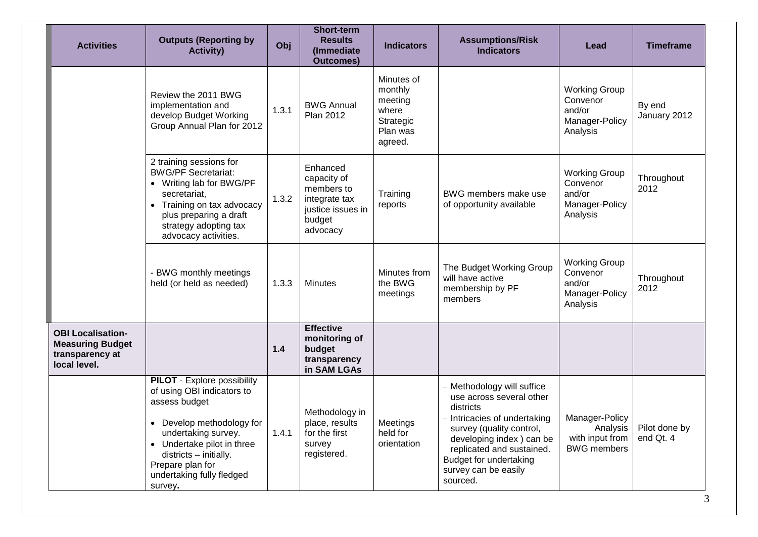| <b>Activities</b>                                                                      | <b>Outputs (Reporting by</b><br><b>Activity)</b>                                                                                                                                                                                                          | Obj   | <b>Short-term</b><br><b>Results</b><br>(Immediate<br><b>Outcomes)</b>                             | <b>Indicators</b>                                                             | <b>Assumptions/Risk</b><br><b>Indicators</b>                                                                                                                                                                                                           | Lead                                                                     | <b>Timeframe</b>           |
|----------------------------------------------------------------------------------------|-----------------------------------------------------------------------------------------------------------------------------------------------------------------------------------------------------------------------------------------------------------|-------|---------------------------------------------------------------------------------------------------|-------------------------------------------------------------------------------|--------------------------------------------------------------------------------------------------------------------------------------------------------------------------------------------------------------------------------------------------------|--------------------------------------------------------------------------|----------------------------|
|                                                                                        | Review the 2011 BWG<br>implementation and<br>develop Budget Working<br>Group Annual Plan for 2012                                                                                                                                                         | 1.3.1 | <b>BWG Annual</b><br><b>Plan 2012</b>                                                             | Minutes of<br>monthly<br>meeting<br>where<br>Strategic<br>Plan was<br>agreed. |                                                                                                                                                                                                                                                        | <b>Working Group</b><br>Convenor<br>and/or<br>Manager-Policy<br>Analysis | By end<br>January 2012     |
|                                                                                        | 2 training sessions for<br><b>BWG/PF Secretariat:</b><br>• Writing lab for BWG/PF<br>secretariat,<br>• Training on tax advocacy<br>plus preparing a draft<br>strategy adopting tax<br>advocacy activities.                                                | 1.3.2 | Enhanced<br>capacity of<br>members to<br>integrate tax<br>justice issues in<br>budget<br>advocacy | Training<br>reports                                                           | BWG members make use<br>of opportunity available                                                                                                                                                                                                       | <b>Working Group</b><br>Convenor<br>and/or<br>Manager-Policy<br>Analysis | Throughout<br>2012         |
|                                                                                        | - BWG monthly meetings<br>held (or held as needed)                                                                                                                                                                                                        | 1.3.3 | <b>Minutes</b>                                                                                    | Minutes from<br>the BWG<br>meetings                                           | The Budget Working Group<br>will have active<br>membership by PF<br>members                                                                                                                                                                            | <b>Working Group</b><br>Convenor<br>and/or<br>Manager-Policy<br>Analysis | Throughout<br>2012         |
| <b>OBI Localisation-</b><br><b>Measuring Budget</b><br>transparency at<br>local level. |                                                                                                                                                                                                                                                           | $1.4$ | <b>Effective</b><br>monitoring of<br>budget<br>transparency<br>in SAM LGAs                        |                                                                               |                                                                                                                                                                                                                                                        |                                                                          |                            |
|                                                                                        | <b>PILOT</b> - Explore possibility<br>of using OBI indicators to<br>assess budget<br>• Develop methodology for<br>undertaking survey.<br>• Undertake pilot in three<br>districts - initially.<br>Prepare plan for<br>undertaking fully fledged<br>survey. | 1.4.1 | Methodology in<br>place, results<br>for the first<br>survey<br>registered.                        | Meetings<br>held for<br>orientation                                           | - Methodology will suffice<br>use across several other<br>districts<br>- Intricacies of undertaking<br>survey (quality control,<br>developing index) can be<br>replicated and sustained.<br>Budget for undertaking<br>survey can be easily<br>sourced. | Manager-Policy<br>Analysis<br>with input from<br><b>BWG</b> members      | Pilot done by<br>end Qt. 4 |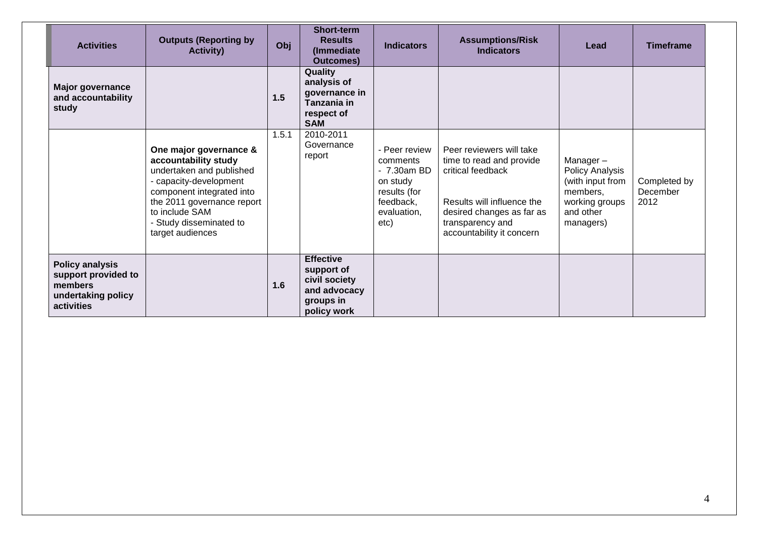| <b>Activities</b>                                                                            | <b>Outputs (Reporting by</b><br><b>Activity)</b>                                                                                                                                                                                 | Obj   | <b>Short-term</b><br><b>Results</b><br>(Immediate)<br><b>Outcomes</b> )                     | <b>Indicators</b>                                                                                        | <b>Assumptions/Risk</b><br><b>Indicators</b>                                                                                                                                          | Lead                                                                                                           | <b>Timeframe</b>                 |
|----------------------------------------------------------------------------------------------|----------------------------------------------------------------------------------------------------------------------------------------------------------------------------------------------------------------------------------|-------|---------------------------------------------------------------------------------------------|----------------------------------------------------------------------------------------------------------|---------------------------------------------------------------------------------------------------------------------------------------------------------------------------------------|----------------------------------------------------------------------------------------------------------------|----------------------------------|
| <b>Major governance</b><br>and accountability<br>study                                       |                                                                                                                                                                                                                                  | 1.5   | Quality<br>analysis of<br>governance in<br>Tanzania in<br>respect of<br><b>SAM</b>          |                                                                                                          |                                                                                                                                                                                       |                                                                                                                |                                  |
|                                                                                              | One major governance &<br>accountability study<br>undertaken and published<br>- capacity-development<br>component integrated into<br>the 2011 governance report<br>to include SAM<br>- Study disseminated to<br>target audiences | 1.5.1 | 2010-2011<br>Governance<br>report                                                           | - Peer review<br>comments<br>- 7.30am BD<br>on study<br>results (for<br>feedback,<br>evaluation.<br>etc) | Peer reviewers will take<br>time to read and provide<br>critical feedback<br>Results will influence the<br>desired changes as far as<br>transparency and<br>accountability it concern | Manager-<br><b>Policy Analysis</b><br>(with input from<br>members,<br>working groups<br>and other<br>managers) | Completed by<br>December<br>2012 |
| <b>Policy analysis</b><br>support provided to<br>members<br>undertaking policy<br>activities |                                                                                                                                                                                                                                  | 1.6   | <b>Effective</b><br>support of<br>civil society<br>and advocacy<br>groups in<br>policy work |                                                                                                          |                                                                                                                                                                                       |                                                                                                                |                                  |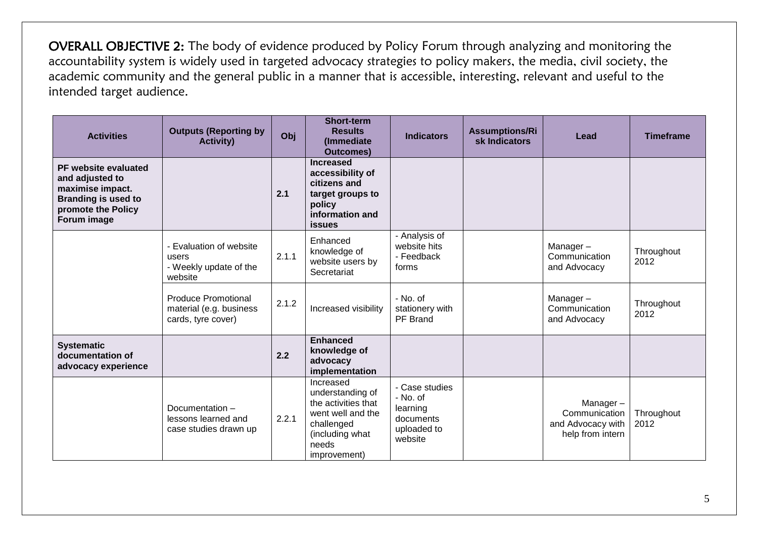OVERALL OBJECTIVE 2: The body of evidence produced by Policy Forum through analyzing and monitoring the accountability system is widely used in targeted advocacy strategies to policy makers, the media, civil society, the academic community and the general public in a manner that is accessible, interesting, relevant and useful to the intended target audience.

| <b>Activities</b>                                                                                                              | <b>Outputs (Reporting by</b><br><b>Activity)</b>                            | Obj   | <b>Short-term</b><br><b>Results</b><br>(Immediate<br><b>Outcomes)</b>                                                               | <b>Indicators</b>                                                             | <b>Assumptions/Ri</b><br>sk Indicators | Lead                                                               | <b>Timeframe</b>   |
|--------------------------------------------------------------------------------------------------------------------------------|-----------------------------------------------------------------------------|-------|-------------------------------------------------------------------------------------------------------------------------------------|-------------------------------------------------------------------------------|----------------------------------------|--------------------------------------------------------------------|--------------------|
| PF website evaluated<br>and adjusted to<br>maximise impact.<br><b>Branding is used to</b><br>promote the Policy<br>Forum image |                                                                             | 2.1   | <b>Increased</b><br>accessibility of<br>citizens and<br>target groups to<br>policy<br>information and<br><b>issues</b>              |                                                                               |                                        |                                                                    |                    |
|                                                                                                                                | - Evaluation of website<br>users<br>- Weekly update of the<br>website       | 2.1.1 | Enhanced<br>knowledge of<br>website users by<br>Secretariat                                                                         | - Analysis of<br>website hits<br>- Feedback<br>forms                          |                                        | Manager-<br>Communication<br>and Advocacy                          | Throughout<br>2012 |
|                                                                                                                                | <b>Produce Promotional</b><br>material (e.g. business<br>cards, tyre cover) | 2.1.2 | Increased visibility                                                                                                                | - No. of<br>stationery with<br>PF Brand                                       |                                        | Manager-<br>Communication<br>and Advocacy                          | Throughout<br>2012 |
| <b>Systematic</b><br>documentation of<br>advocacy experience                                                                   |                                                                             | 2.2   | <b>Enhanced</b><br>knowledge of<br>advocacy<br>implementation                                                                       |                                                                               |                                        |                                                                    |                    |
|                                                                                                                                | Documentation-<br>lessons learned and<br>case studies drawn up              | 2.2.1 | Increased<br>understanding of<br>the activities that<br>went well and the<br>challenged<br>(including what<br>needs<br>improvement) | - Case studies<br>- No. of<br>learning<br>documents<br>uploaded to<br>website |                                        | Manager-<br>Communication<br>and Advocacy with<br>help from intern | Throughout<br>2012 |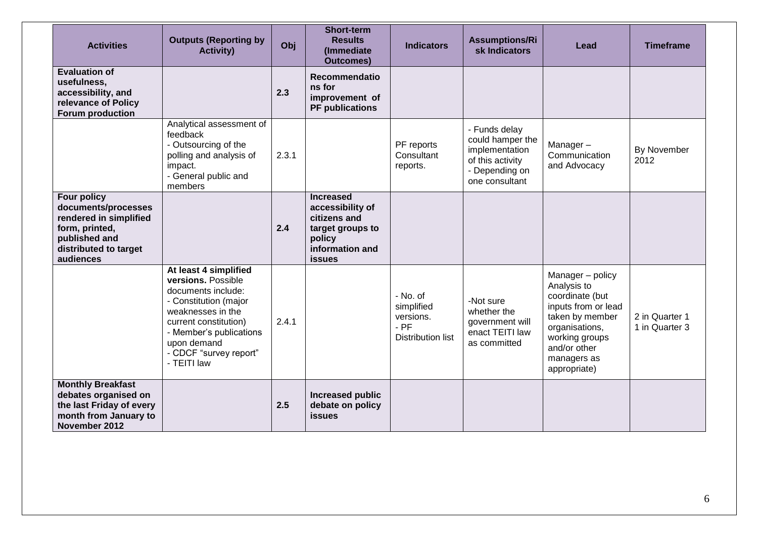| <b>Activities</b>                                                                                                                            | <b>Outputs (Reporting by</b><br><b>Activity)</b>                                                                                                                                                                            | Obj   | <b>Short-term</b><br><b>Results</b><br>(Immediate<br><b>Outcomes)</b>                                                  | <b>Indicators</b>                                                         | <b>Assumptions/Ri</b><br>sk Indicators                                                                      | Lead                                                                                                                                                                            | <b>Timeframe</b>                 |
|----------------------------------------------------------------------------------------------------------------------------------------------|-----------------------------------------------------------------------------------------------------------------------------------------------------------------------------------------------------------------------------|-------|------------------------------------------------------------------------------------------------------------------------|---------------------------------------------------------------------------|-------------------------------------------------------------------------------------------------------------|---------------------------------------------------------------------------------------------------------------------------------------------------------------------------------|----------------------------------|
| <b>Evaluation of</b><br>usefulness,<br>accessibility, and<br>relevance of Policy<br><b>Forum production</b>                                  |                                                                                                                                                                                                                             | 2.3   | Recommendatio<br>ns for<br>improvement of<br><b>PF</b> publications                                                    |                                                                           |                                                                                                             |                                                                                                                                                                                 |                                  |
|                                                                                                                                              | Analytical assessment of<br>feedback<br>- Outsourcing of the<br>polling and analysis of<br>impact.<br>- General public and<br>members                                                                                       | 2.3.1 |                                                                                                                        | PF reports<br>Consultant<br>reports.                                      | - Funds delay<br>could hamper the<br>implementation<br>of this activity<br>- Depending on<br>one consultant | Manager-<br>Communication<br>and Advocacy                                                                                                                                       | By November<br>2012              |
| <b>Four policy</b><br>documents/processes<br>rendered in simplified<br>form, printed,<br>published and<br>distributed to target<br>audiences |                                                                                                                                                                                                                             | 2.4   | <b>Increased</b><br>accessibility of<br>citizens and<br>target groups to<br>policy<br>information and<br><b>issues</b> |                                                                           |                                                                                                             |                                                                                                                                                                                 |                                  |
|                                                                                                                                              | At least 4 simplified<br>versions. Possible<br>documents include:<br>- Constitution (major<br>weaknesses in the<br>current constitution)<br>- Member's publications<br>upon demand<br>- CDCF "survey report"<br>- TEITI law | 2.4.1 |                                                                                                                        | - No. of<br>simplified<br>versions.<br>$-$ PF<br><b>Distribution list</b> | -Not sure<br>whether the<br>government will<br>enact TEITI law<br>as committed                              | Manager - policy<br>Analysis to<br>coordinate (but<br>inputs from or lead<br>taken by member<br>organisations,<br>working groups<br>and/or other<br>managers as<br>appropriate) | 2 in Quarter 1<br>1 in Quarter 3 |
| <b>Monthly Breakfast</b><br>debates organised on<br>the last Friday of every<br>month from January to<br>November 2012                       |                                                                                                                                                                                                                             | 2.5   | Increased public<br>debate on policy<br><b>issues</b>                                                                  |                                                                           |                                                                                                             |                                                                                                                                                                                 |                                  |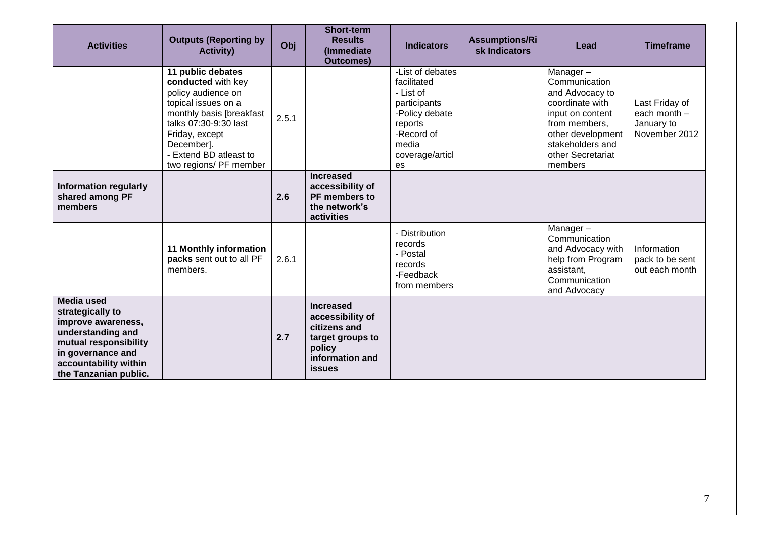| <b>Activities</b>                                                                                                                                                                | <b>Outputs (Reporting by</b><br><b>Activity)</b>                                                                                                                                                                              | Obj   | <b>Short-term</b><br><b>Results</b><br>(Immediate<br><b>Outcomes)</b>                                                  | <b>Indicators</b>                                                                                                                         | <b>Assumptions/Ri</b><br>sk Indicators | Lead                                                                                                                                                                          | <b>Timeframe</b>                                              |
|----------------------------------------------------------------------------------------------------------------------------------------------------------------------------------|-------------------------------------------------------------------------------------------------------------------------------------------------------------------------------------------------------------------------------|-------|------------------------------------------------------------------------------------------------------------------------|-------------------------------------------------------------------------------------------------------------------------------------------|----------------------------------------|-------------------------------------------------------------------------------------------------------------------------------------------------------------------------------|---------------------------------------------------------------|
|                                                                                                                                                                                  | 11 public debates<br>conducted with key<br>policy audience on<br>topical issues on a<br>monthly basis [breakfast<br>talks 07:30-9:30 last<br>Friday, except<br>December].<br>- Extend BD atleast to<br>two regions/ PF member | 2.5.1 |                                                                                                                        | -List of debates<br>facilitated<br>- List of<br>participants<br>-Policy debate<br>reports<br>-Record of<br>media<br>coverage/articl<br>es |                                        | Manager-<br>Communication<br>and Advocacy to<br>coordinate with<br>input on content<br>from members,<br>other development<br>stakeholders and<br>other Secretariat<br>members | Last Friday of<br>each month -<br>January to<br>November 2012 |
| <b>Information regularly</b><br>shared among PF<br>members                                                                                                                       |                                                                                                                                                                                                                               | 2.6   | <b>Increased</b><br>accessibility of<br>PF members to<br>the network's<br>activities                                   |                                                                                                                                           |                                        |                                                                                                                                                                               |                                                               |
|                                                                                                                                                                                  | <b>11 Monthly information</b><br>packs sent out to all PF<br>members.                                                                                                                                                         | 2.6.1 |                                                                                                                        | - Distribution<br>records<br>- Postal<br>records<br>-Feedback<br>from members                                                             |                                        | Manager-<br>Communication<br>and Advocacy with<br>help from Program<br>assistant,<br>Communication<br>and Advocacy                                                            | Information<br>pack to be sent<br>out each month              |
| <b>Media used</b><br>strategically to<br>improve awareness,<br>understanding and<br>mutual responsibility<br>in governance and<br>accountability within<br>the Tanzanian public. |                                                                                                                                                                                                                               | 2.7   | <b>Increased</b><br>accessibility of<br>citizens and<br>target groups to<br>policy<br>information and<br><b>issues</b> |                                                                                                                                           |                                        |                                                                                                                                                                               |                                                               |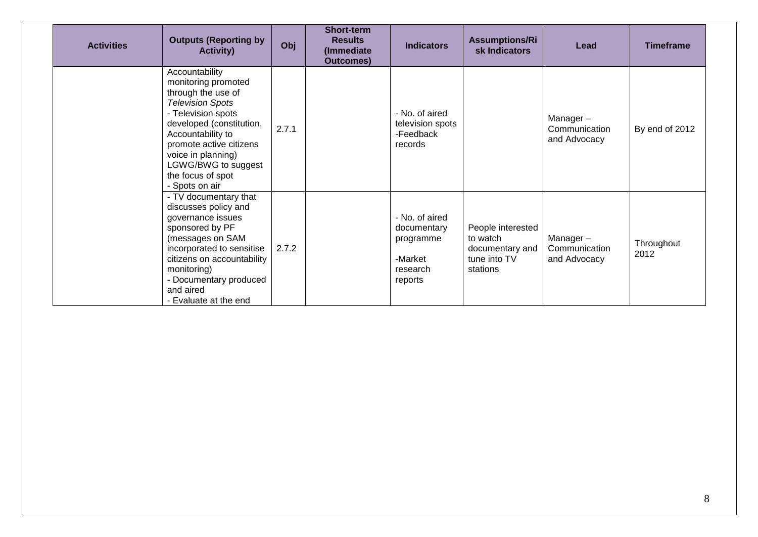| <b>Activities</b> | <b>Outputs (Reporting by</b><br><b>Activity)</b>                                                                                                                                                                                                                             | Obj   | Short-term<br><b>Results</b><br>(Immediate<br><b>Outcomes)</b> | <b>Indicators</b>                                                            | <b>Assumptions/Ri</b><br>sk Indicators                                       | Lead                                      | <b>Timeframe</b>   |
|-------------------|------------------------------------------------------------------------------------------------------------------------------------------------------------------------------------------------------------------------------------------------------------------------------|-------|----------------------------------------------------------------|------------------------------------------------------------------------------|------------------------------------------------------------------------------|-------------------------------------------|--------------------|
|                   | Accountability<br>monitoring promoted<br>through the use of<br><b>Television Spots</b><br>- Television spots<br>developed (constitution,<br>Accountability to<br>promote active citizens<br>voice in planning)<br>LGWG/BWG to suggest<br>the focus of spot<br>- Spots on air | 2.7.1 |                                                                | - No. of aired<br>television spots<br>-Feedback<br>records                   |                                                                              | Manager-<br>Communication<br>and Advocacy | By end of 2012     |
|                   | - TV documentary that<br>discusses policy and<br>governance issues<br>sponsored by PF<br>(messages on SAM<br>incorporated to sensitise<br>citizens on accountability<br>monitoring)<br>- Documentary produced<br>and aired<br>- Evaluate at the end                          | 2.7.2 |                                                                | - No. of aired<br>documentary<br>programme<br>-Market<br>research<br>reports | People interested<br>to watch<br>documentary and<br>tune into TV<br>stations | Manager-<br>Communication<br>and Advocacy | Throughout<br>2012 |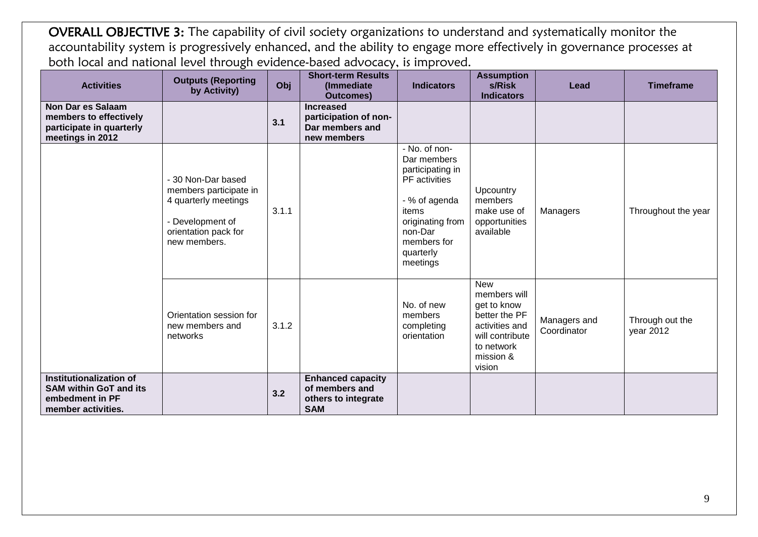OVERALL OBJECTIVE 3: The capability of civil society organizations to understand and systematically monitor the accountability system is progressively enhanced, and the ability to engage more effectively in governance processes at both local and national level through evidence-based advocacy, is improved.

| <b>Activities</b>                                                                                  | <b>Outputs (Reporting</b><br>by Activity)                                                                                        | Obj   | <b>Short-term Results</b><br>(Immediate<br><b>Outcomes)</b>                     | <b>Indicators</b>                                                                                                                                                  | <b>Assumption</b><br>s/Risk<br><b>Indicators</b>                                                                                     | Lead                        | <b>Timeframe</b>             |
|----------------------------------------------------------------------------------------------------|----------------------------------------------------------------------------------------------------------------------------------|-------|---------------------------------------------------------------------------------|--------------------------------------------------------------------------------------------------------------------------------------------------------------------|--------------------------------------------------------------------------------------------------------------------------------------|-----------------------------|------------------------------|
| <b>Non Dar es Salaam</b><br>members to effectively<br>participate in quarterly<br>meetings in 2012 |                                                                                                                                  | 3.1   | <b>Increased</b><br>participation of non-<br>Dar members and<br>new members     |                                                                                                                                                                    |                                                                                                                                      |                             |                              |
|                                                                                                    | - 30 Non-Dar based<br>members participate in<br>4 quarterly meetings<br>- Development of<br>orientation pack for<br>new members. | 3.1.1 |                                                                                 | - No. of non-<br>Dar members<br>participating in<br>PF activities<br>- % of agenda<br>items<br>originating from<br>non-Dar<br>members for<br>quarterly<br>meetings | Upcountry<br>members<br>make use of<br>opportunities<br>available                                                                    | Managers                    | Throughout the year          |
|                                                                                                    | Orientation session for<br>new members and<br>networks                                                                           | 3.1.2 |                                                                                 | No. of new<br>members<br>completing<br>orientation                                                                                                                 | <b>New</b><br>members will<br>get to know<br>better the PF<br>activities and<br>will contribute<br>to network<br>mission &<br>vision | Managers and<br>Coordinator | Through out the<br>year 2012 |
| Institutionalization of<br><b>SAM within GoT and its</b><br>embedment in PF<br>member activities.  |                                                                                                                                  | 3.2   | <b>Enhanced capacity</b><br>of members and<br>others to integrate<br><b>SAM</b> |                                                                                                                                                                    |                                                                                                                                      |                             |                              |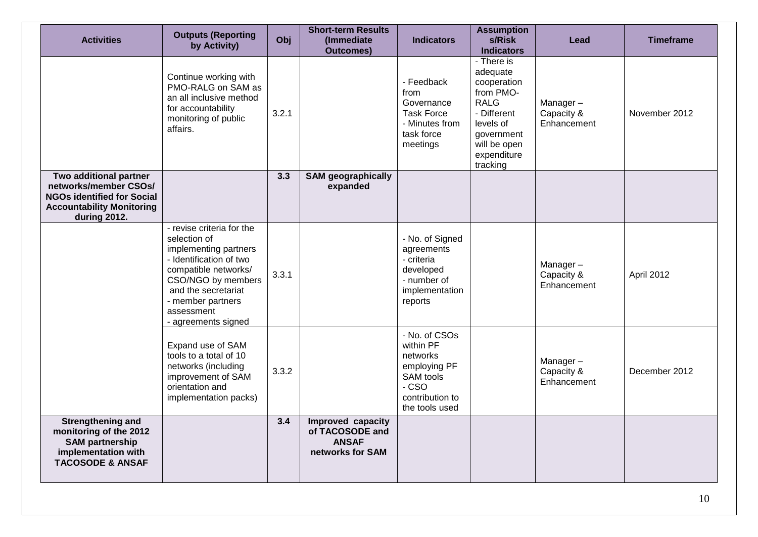| <b>Activities</b>                                                                                                                        | <b>Outputs (Reporting</b><br>by Activity)                                                                                                                                                                                    | Obj   | <b>Short-term Results</b><br>(Immediate<br><b>Outcomes)</b>              | <b>Indicators</b>                                                                                                  | <b>Assumption</b><br>s/Risk<br><b>Indicators</b>                                                                                                       | Lead                                  | <b>Timeframe</b> |
|------------------------------------------------------------------------------------------------------------------------------------------|------------------------------------------------------------------------------------------------------------------------------------------------------------------------------------------------------------------------------|-------|--------------------------------------------------------------------------|--------------------------------------------------------------------------------------------------------------------|--------------------------------------------------------------------------------------------------------------------------------------------------------|---------------------------------------|------------------|
|                                                                                                                                          | Continue working with<br>PMO-RALG on SAM as<br>an all inclusive method<br>for accountability<br>monitoring of public<br>affairs.                                                                                             | 3.2.1 |                                                                          | - Feedback<br>from<br>Governance<br><b>Task Force</b><br>- Minutes from<br>task force<br>meetings                  | - There is<br>adequate<br>cooperation<br>from PMO-<br><b>RALG</b><br>- Different<br>levels of<br>government<br>will be open<br>expenditure<br>tracking | Manager-<br>Capacity &<br>Enhancement | November 2012    |
| Two additional partner<br>networks/member CSOs/<br><b>NGOs identified for Social</b><br><b>Accountability Monitoring</b><br>during 2012. |                                                                                                                                                                                                                              | 3.3   | <b>SAM geographically</b><br>expanded                                    |                                                                                                                    |                                                                                                                                                        |                                       |                  |
|                                                                                                                                          | - revise criteria for the<br>selection of<br>implementing partners<br>- Identification of two<br>compatible networks/<br>CSO/NGO by members<br>and the secretariat<br>- member partners<br>assessment<br>- agreements signed | 3.3.1 |                                                                          | - No. of Signed<br>agreements<br>- criteria<br>developed<br>- number of<br>implementation<br>reports               |                                                                                                                                                        | Manager-<br>Capacity &<br>Enhancement | April 2012       |
|                                                                                                                                          | Expand use of SAM<br>tools to a total of 10<br>networks (including<br>improvement of SAM<br>orientation and<br>implementation packs)                                                                                         | 3.3.2 |                                                                          | - No. of CSOs<br>within PF<br>networks<br>employing PF<br>SAM tools<br>$-CSO$<br>contribution to<br>the tools used |                                                                                                                                                        | Manager-<br>Capacity &<br>Enhancement | December 2012    |
| <b>Strengthening and</b><br>monitoring of the 2012<br><b>SAM partnership</b><br>implementation with<br><b>TACOSODE &amp; ANSAF</b>       |                                                                                                                                                                                                                              | 3.4   | Improved capacity<br>of TACOSODE and<br><b>ANSAF</b><br>networks for SAM |                                                                                                                    |                                                                                                                                                        |                                       |                  |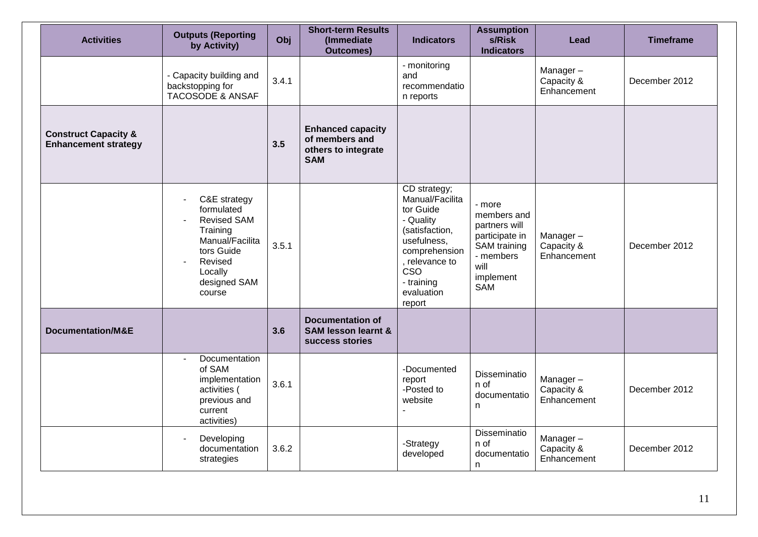| <b>Activities</b>                                              | <b>Outputs (Reporting</b><br>by Activity)                                                                                                                                 | Obj   | <b>Short-term Results</b><br>(Immediate<br><b>Outcomes)</b>                     | <b>Indicators</b>                                                                                                                                                                 | <b>Assumption</b><br>s/Risk<br><b>Indicators</b>                                                                                | Lead                                  | <b>Timeframe</b> |
|----------------------------------------------------------------|---------------------------------------------------------------------------------------------------------------------------------------------------------------------------|-------|---------------------------------------------------------------------------------|-----------------------------------------------------------------------------------------------------------------------------------------------------------------------------------|---------------------------------------------------------------------------------------------------------------------------------|---------------------------------------|------------------|
|                                                                | - Capacity building and<br>backstopping for<br><b>TACOSODE &amp; ANSAF</b>                                                                                                | 3.4.1 |                                                                                 | - monitoring<br>and<br>recommendatio<br>n reports                                                                                                                                 |                                                                                                                                 | Manager-<br>Capacity &<br>Enhancement | December 2012    |
| <b>Construct Capacity &amp;</b><br><b>Enhancement strategy</b> |                                                                                                                                                                           | 3.5   | <b>Enhanced capacity</b><br>of members and<br>others to integrate<br><b>SAM</b> |                                                                                                                                                                                   |                                                                                                                                 |                                       |                  |
|                                                                | C&E strategy<br>$\overline{\phantom{a}}$<br>formulated<br><b>Revised SAM</b><br>Training<br>Manual/Facilita<br>tors Guide<br>Revised<br>Locally<br>designed SAM<br>course | 3.5.1 |                                                                                 | CD strategy;<br>Manual/Facilita<br>tor Guide<br>- Quality<br>(satisfaction,<br>usefulness,<br>comprehension<br>, relevance to<br><b>CSO</b><br>- training<br>evaluation<br>report | - more<br>members and<br>partners will<br>participate in<br><b>SAM</b> training<br>- members<br>will<br>implement<br><b>SAM</b> | Manager-<br>Capacity &<br>Enhancement | December 2012    |
| <b>Documentation/M&amp;E</b>                                   |                                                                                                                                                                           | 3.6   | <b>Documentation of</b><br><b>SAM lesson learnt &amp;</b><br>success stories    |                                                                                                                                                                                   |                                                                                                                                 |                                       |                  |
|                                                                | Documentation<br>$\sim$<br>of SAM<br>implementation<br>activities (<br>previous and<br>current<br>activities)                                                             | 3.6.1 |                                                                                 | -Documented<br>report<br>-Posted to<br>website                                                                                                                                    | Disseminatio<br>n of<br>documentatio<br>n                                                                                       | Manager-<br>Capacity &<br>Enhancement | December 2012    |
|                                                                | Developing<br>documentation<br>strategies                                                                                                                                 | 3.6.2 |                                                                                 | -Strategy<br>developed                                                                                                                                                            | Disseminatio<br>n of<br>documentatio<br>n.                                                                                      | Manager-<br>Capacity &<br>Enhancement | December 2012    |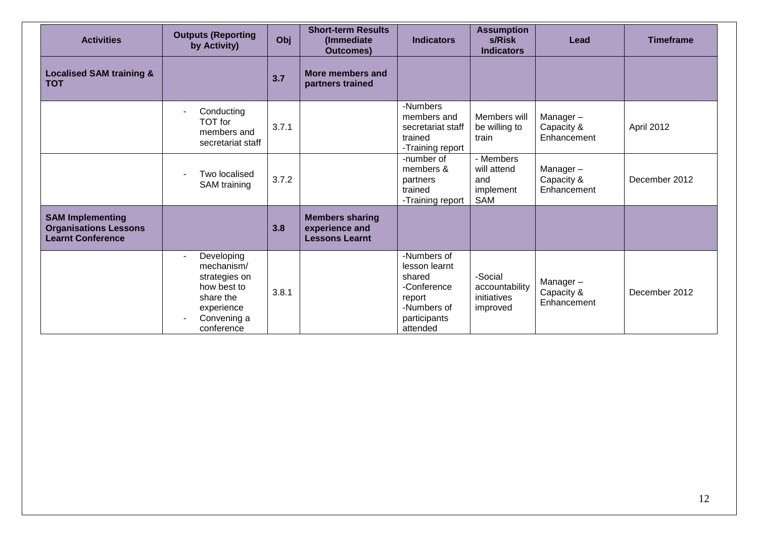| <b>Activities</b>                                                                   | <b>Outputs (Reporting</b><br>by Activity)                                                                                  | Obj   | <b>Short-term Results</b><br>(Immediate)<br><b>Outcomes)</b>      | <b>Indicators</b>                                                                                          | <b>Assumption</b><br>s/Risk<br><b>Indicators</b>     | Lead                                  | <b>Timeframe</b> |
|-------------------------------------------------------------------------------------|----------------------------------------------------------------------------------------------------------------------------|-------|-------------------------------------------------------------------|------------------------------------------------------------------------------------------------------------|------------------------------------------------------|---------------------------------------|------------------|
| <b>Localised SAM training &amp;</b><br><b>TOT</b>                                   |                                                                                                                            | 3.7   | More members and<br>partners trained                              |                                                                                                            |                                                      |                                       |                  |
|                                                                                     | Conducting<br>TOT for<br>members and<br>secretariat staff                                                                  | 3.7.1 |                                                                   | -Numbers<br>members and<br>secretariat staff<br>trained<br>-Training report                                | Members will<br>be willing to<br>train               | Manager-<br>Capacity &<br>Enhancement | April 2012       |
|                                                                                     | Two localised<br>SAM training                                                                                              | 3.7.2 |                                                                   | -number of<br>members &<br>partners<br>trained<br>-Training report                                         | - Members<br>will attend<br>and<br>implement<br>SAM  | Manager-<br>Capacity &<br>Enhancement | December 2012    |
| <b>SAM Implementing</b><br><b>Organisations Lessons</b><br><b>Learnt Conference</b> |                                                                                                                            | 3.8   | <b>Members sharing</b><br>experience and<br><b>Lessons Learnt</b> |                                                                                                            |                                                      |                                       |                  |
|                                                                                     | Developing<br>$\sim$<br>mechanism/<br>strategies on<br>how best to<br>share the<br>experience<br>Convening a<br>conference | 3.8.1 |                                                                   | -Numbers of<br>lesson learnt<br>shared<br>-Conference<br>report<br>-Numbers of<br>participants<br>attended | -Social<br>accountability<br>initiatives<br>improved | Manager-<br>Capacity &<br>Enhancement | December 2012    |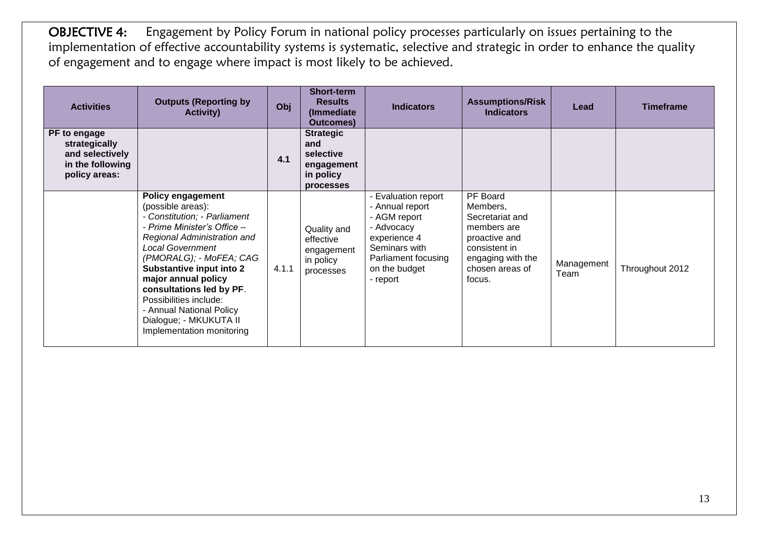OBJECTIVE 4: Engagement by Policy Forum in national policy processes particularly on issues pertaining to the implementation of effective accountability systems is systematic, selective and strategic in order to enhance the quality of engagement and to engage where impact is most likely to be achieved.

| <b>Activities</b>                                                                     | <b>Outputs (Reporting by</b><br><b>Activity)</b>                                                                                                                                                                                                                                                                                                                                              | Obj   | <b>Short-term</b><br><b>Results</b><br>(Immediate<br><b>Outcomes</b> )       | <b>Indicators</b>                                                                                                                                         | <b>Assumptions/Risk</b><br><b>Indicators</b>                                                                                               | Lead               | <b>Timeframe</b> |
|---------------------------------------------------------------------------------------|-----------------------------------------------------------------------------------------------------------------------------------------------------------------------------------------------------------------------------------------------------------------------------------------------------------------------------------------------------------------------------------------------|-------|------------------------------------------------------------------------------|-----------------------------------------------------------------------------------------------------------------------------------------------------------|--------------------------------------------------------------------------------------------------------------------------------------------|--------------------|------------------|
| PF to engage<br>strategically<br>and selectively<br>in the following<br>policy areas: |                                                                                                                                                                                                                                                                                                                                                                                               | 4.1   | <b>Strategic</b><br>and<br>selective<br>engagement<br>in policy<br>processes |                                                                                                                                                           |                                                                                                                                            |                    |                  |
|                                                                                       | <b>Policy engagement</b><br>(possible areas):<br>- Constitution; - Parliament<br>- Prime Minister's Office -<br>Regional Administration and<br><b>Local Government</b><br>(PMORALG); - MoFEA; CAG<br>Substantive input into 2<br>major annual policy<br>consultations led by PF.<br>Possibilities include:<br>- Annual National Policy<br>Dialogue; - MKUKUTA II<br>Implementation monitoring | 4.1.1 | Quality and<br>effective<br>engagement<br>in policy<br>processes             | - Evaluation report<br>- Annual report<br>- AGM report<br>- Advocacy<br>experience 4<br>Seminars with<br>Parliament focusing<br>on the budget<br>- report | PF Board<br>Members,<br>Secretariat and<br>members are<br>proactive and<br>consistent in<br>engaging with the<br>chosen areas of<br>focus. | Management<br>Team | Throughout 2012  |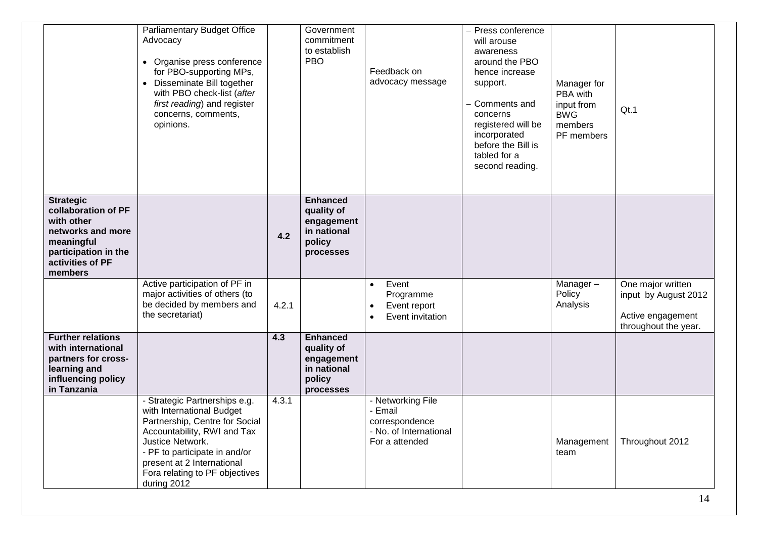|                                                                                                                                                 | <b>Parliamentary Budget Office</b><br>Advocacy<br>• Organise press conference<br>for PBO-supporting MPs,<br>• Disseminate Bill together<br>with PBO check-list (after<br>first reading) and register<br>concerns, comments,<br>opinions.                        |       | Government<br>commitment<br>to establish<br><b>PBO</b>                            | Feedback on<br>advocacy message                                                               | - Press conference<br>will arouse<br>awareness<br>around the PBO<br>hence increase<br>support.<br>Comments and<br>concerns<br>registered will be<br>incorporated<br>before the Bill is<br>tabled for a<br>second reading. | Manager for<br>PBA with<br>input from<br><b>BWG</b><br>members<br>PF members | Qt.1                                                                                   |
|-------------------------------------------------------------------------------------------------------------------------------------------------|-----------------------------------------------------------------------------------------------------------------------------------------------------------------------------------------------------------------------------------------------------------------|-------|-----------------------------------------------------------------------------------|-----------------------------------------------------------------------------------------------|---------------------------------------------------------------------------------------------------------------------------------------------------------------------------------------------------------------------------|------------------------------------------------------------------------------|----------------------------------------------------------------------------------------|
| <b>Strategic</b><br>collaboration of PF<br>with other<br>networks and more<br>meaningful<br>participation in the<br>activities of PF<br>members |                                                                                                                                                                                                                                                                 | 4.2   | <b>Enhanced</b><br>quality of<br>engagement<br>in national<br>policy<br>processes |                                                                                               |                                                                                                                                                                                                                           |                                                                              |                                                                                        |
|                                                                                                                                                 | Active participation of PF in<br>major activities of others (to<br>be decided by members and<br>the secretariat)                                                                                                                                                | 4.2.1 |                                                                                   | Event<br>$\bullet$<br>Programme<br>Event report<br>$\bullet$<br>Event invitation<br>$\bullet$ |                                                                                                                                                                                                                           | Manager-<br>Policy<br>Analysis                                               | One major written<br>input by August 2012<br>Active engagement<br>throughout the year. |
| <b>Further relations</b><br>with international<br>partners for cross-<br>learning and<br>influencing policy<br>in Tanzania                      |                                                                                                                                                                                                                                                                 | 4.3   | <b>Enhanced</b><br>quality of<br>engagement<br>in national<br>policy<br>processes |                                                                                               |                                                                                                                                                                                                                           |                                                                              |                                                                                        |
|                                                                                                                                                 | - Strategic Partnerships e.g.<br>with International Budget<br>Partnership, Centre for Social<br>Accountability, RWI and Tax<br>Justice Network.<br>- PF to participate in and/or<br>present at 2 International<br>Fora relating to PF objectives<br>during 2012 | 4.3.1 |                                                                                   | - Networking File<br>- Email<br>correspondence<br>- No. of International<br>For a attended    |                                                                                                                                                                                                                           | Management<br>team                                                           | Throughout 2012                                                                        |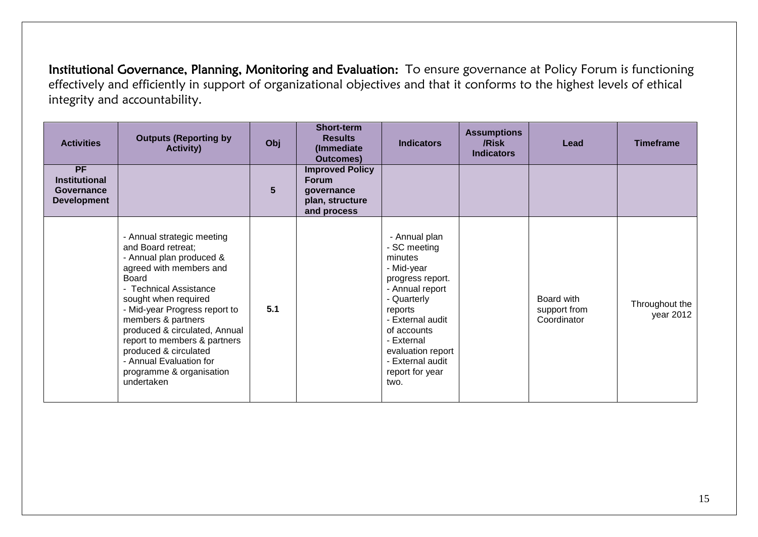Institutional Governance, Planning, Monitoring and Evaluation: To ensure governance at Policy Forum is functioning effectively and efficiently in support of organizational objectives and that it conforms to the highest levels of ethical integrity and accountability.

| <b>Activities</b>                                              | <b>Outputs (Reporting by</b><br><b>Activity)</b>                                                                                                                                                                                                                                                                                                                                         | Obj | <b>Short-term</b><br><b>Results</b><br>(Immediate)<br><b>Outcomes)</b>                 | <b>Indicators</b>                                                                                                                                                                                                                            | <b>Assumptions</b><br>/Risk<br><b>Indicators</b> | Lead                                      | <b>Timeframe</b>            |
|----------------------------------------------------------------|------------------------------------------------------------------------------------------------------------------------------------------------------------------------------------------------------------------------------------------------------------------------------------------------------------------------------------------------------------------------------------------|-----|----------------------------------------------------------------------------------------|----------------------------------------------------------------------------------------------------------------------------------------------------------------------------------------------------------------------------------------------|--------------------------------------------------|-------------------------------------------|-----------------------------|
| PF<br><b>Institutional</b><br>Governance<br><b>Development</b> |                                                                                                                                                                                                                                                                                                                                                                                          | 5   | <b>Improved Policy</b><br><b>Forum</b><br>qovernance<br>plan, structure<br>and process |                                                                                                                                                                                                                                              |                                                  |                                           |                             |
|                                                                | - Annual strategic meeting<br>and Board retreat;<br>- Annual plan produced &<br>agreed with members and<br>Board<br>- Technical Assistance<br>sought when required<br>- Mid-year Progress report to<br>members & partners<br>produced & circulated, Annual<br>report to members & partners<br>produced & circulated<br>- Annual Evaluation for<br>programme & organisation<br>undertaken | 5.1 |                                                                                        | - Annual plan<br>- SC meeting<br>minutes<br>- Mid-year<br>progress report.<br>- Annual report<br>- Quarterly<br>reports<br>- External audit<br>of accounts<br>- External<br>evaluation report<br>- External audit<br>report for year<br>two. |                                                  | Board with<br>support from<br>Coordinator | Throughout the<br>year 2012 |